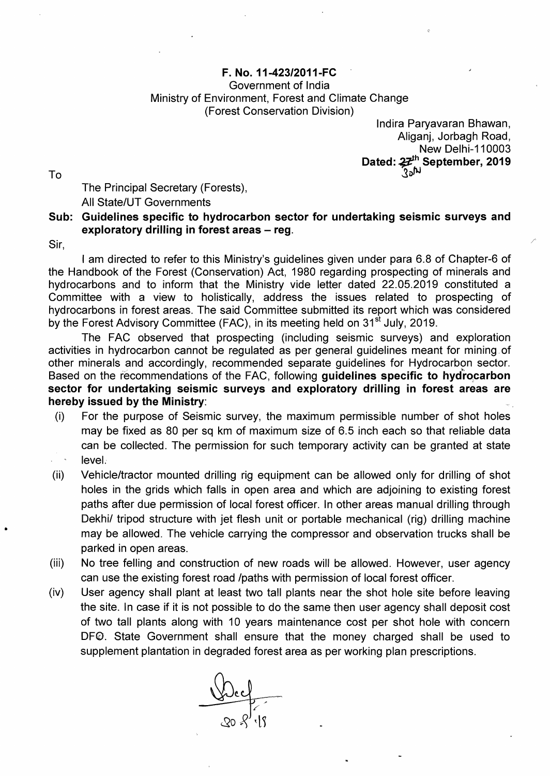## F. No. 11-423/2011-FC

## Government of India Ministry of Environment, Forest and Climate Change (Forest Conservation Division)

Indira Paryavaran Bhawan, Aliganj, Jorbagh Road, **New Delhi-110003** Dated:  $22<sup>th</sup>$  September, 2019  $\mathcal{S}_{\mathbf{a}}$  and  $\mathcal{S}_{\mathbf{a}}$  and  $\mathcal{S}_{\mathbf{a}}$  becomes a set of  $\mathcal{S}_{\mathbf{a}}$  becomes a set of  $\mathcal{S}_{\mathbf{a}}$  becomes a set of  $\mathcal{S}_{\mathbf{a}}$  becomes a set of  $\mathcal{S}_{\mathbf{a}}$  becomes a set of  $\mathcal{S}_{\mathbf{a}}$  becomes

The Principal Secretary (Forests), All State/UT Governments

## Sub: Guidelines specific to hydrocarbon sector for undertaking seismic surveys and exploratory drilling in forest areas  $-$  reg.

Sir,

I am directed to refer to this Ministry's guidelines given under para 6.8 of Chapter-6 of the Handbook of the Forest (Conservation) Act, 1980 regarding prospecting of minerals and hydrocarbons and to inform that the Ministry vide letter dated 22.05.2019 constituted a Committee with a view to holistically, address the issues related to prospecting of hydrocarbons in forest areas. The said Committee submitted its report which was considered by the Forest Advisory Committee (FAC), in its meeting held on 31<sup>st</sup> July, 2019.

The FAC observed that prospecting (including seismic surveys) and exploration activities in hydrocarbon cannot be regulated as per general guidelines meant for mining. of other minerals and accordingly, recommended separate guidelines for Hydrocarbon sector. Based on the recommendations of the FAC, following guidelines specific to hydrocarbon sector for undertaking seismic surveys and exploratory drilling in forest areas are hereby issued by the Ministry:

- (i) For the purpose of Seismic survey, the maximum permissible number of shot holes may be fixed as 80 per sq km of maximum size of 6.5 inch each so that reliable data can be collected. The permission for such temporary activity can be granted at state level:
- (ii) Vehicle/tractor mounted drilling rig equipment can be allowed only for drilling of shot holes in the grids which falls in open area and which are adjoining to existing forest paths after due permission of local forest officer. In other areas manual drilling through Dekhi/ tripod structure with jet flesh unit or portable mechanical (rig) drilling machine may be allowed. The vehicle carrying the compressor and observation trucks shall be parked in open areas.
- (iii) No tree felling and construction of new roads will be allowed. However, user agency can use the existing forest road /paths with permission of local forest officer.
- (iv) User agency shall plant at least two tall plants near the shot hole site before leaving the site. In case if it is not possible to do the same then user agency shall deposit cost of two tall plants along with 10 years maintenance cost per shot hole with concern DFO. State Government shall ensure that the money charged shall be used to supplement plantation in degraded forest area as per working plan prescriptions.